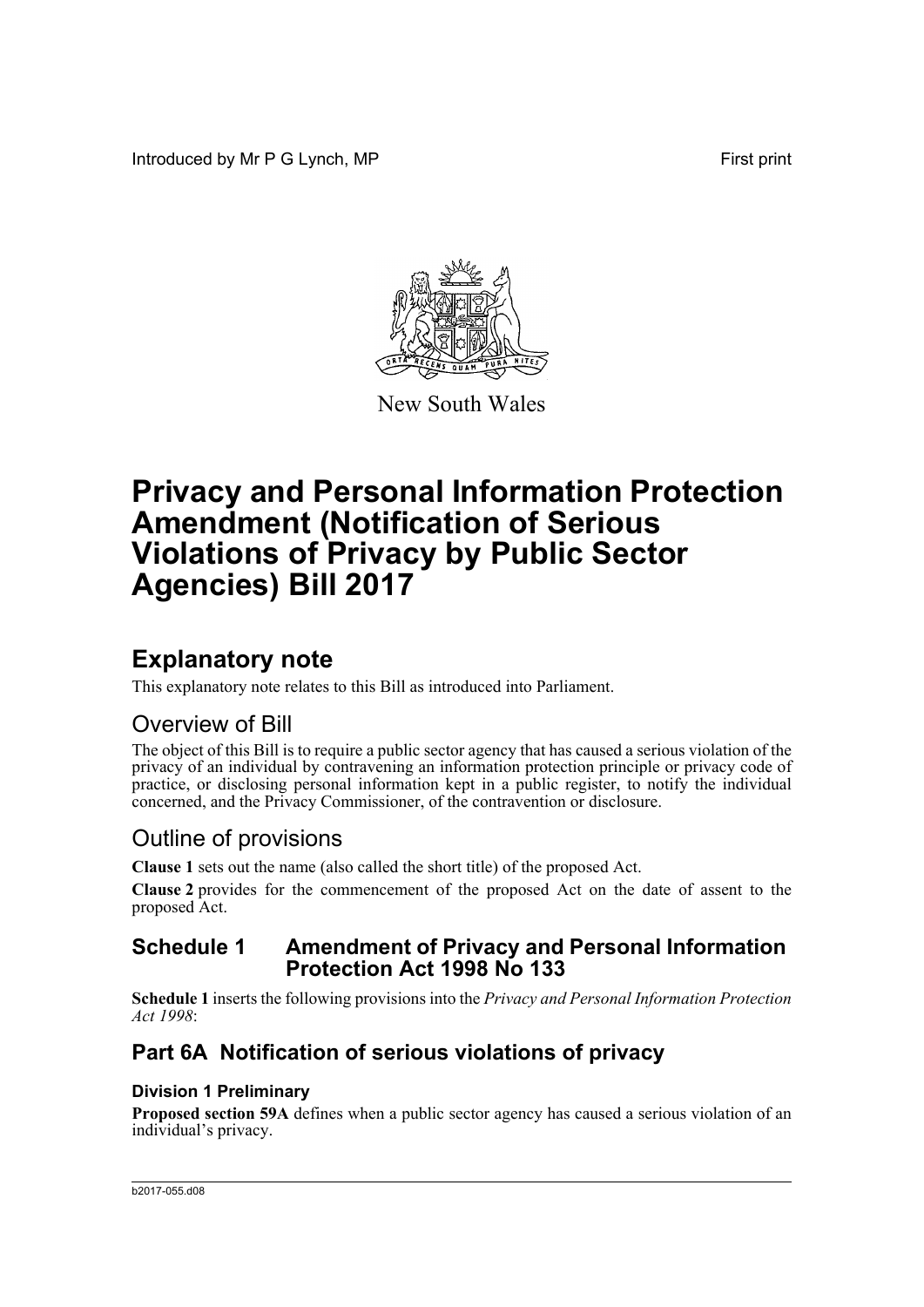Introduced by Mr P G Lynch, MP First print



New South Wales

# **Privacy and Personal Information Protection Amendment (Notification of Serious Violations of Privacy by Public Sector Agencies) Bill 2017**

# **Explanatory note**

This explanatory note relates to this Bill as introduced into Parliament.

# Overview of Bill

The object of this Bill is to require a public sector agency that has caused a serious violation of the privacy of an individual by contravening an information protection principle or privacy code of practice, or disclosing personal information kept in a public register, to notify the individual concerned, and the Privacy Commissioner, of the contravention or disclosure.

# Outline of provisions

**Clause 1** sets out the name (also called the short title) of the proposed Act.

**Clause 2** provides for the commencement of the proposed Act on the date of assent to the proposed Act.

## **Schedule 1 Amendment of Privacy and Personal Information Protection Act 1998 No 133**

**Schedule 1** inserts the following provisions into the *Privacy and Personal Information Protection Act 1998*:

# **Part 6A Notification of serious violations of privacy**

## **Division 1 Preliminary**

**Proposed section 59A** defines when a public sector agency has caused a serious violation of an individual's privacy.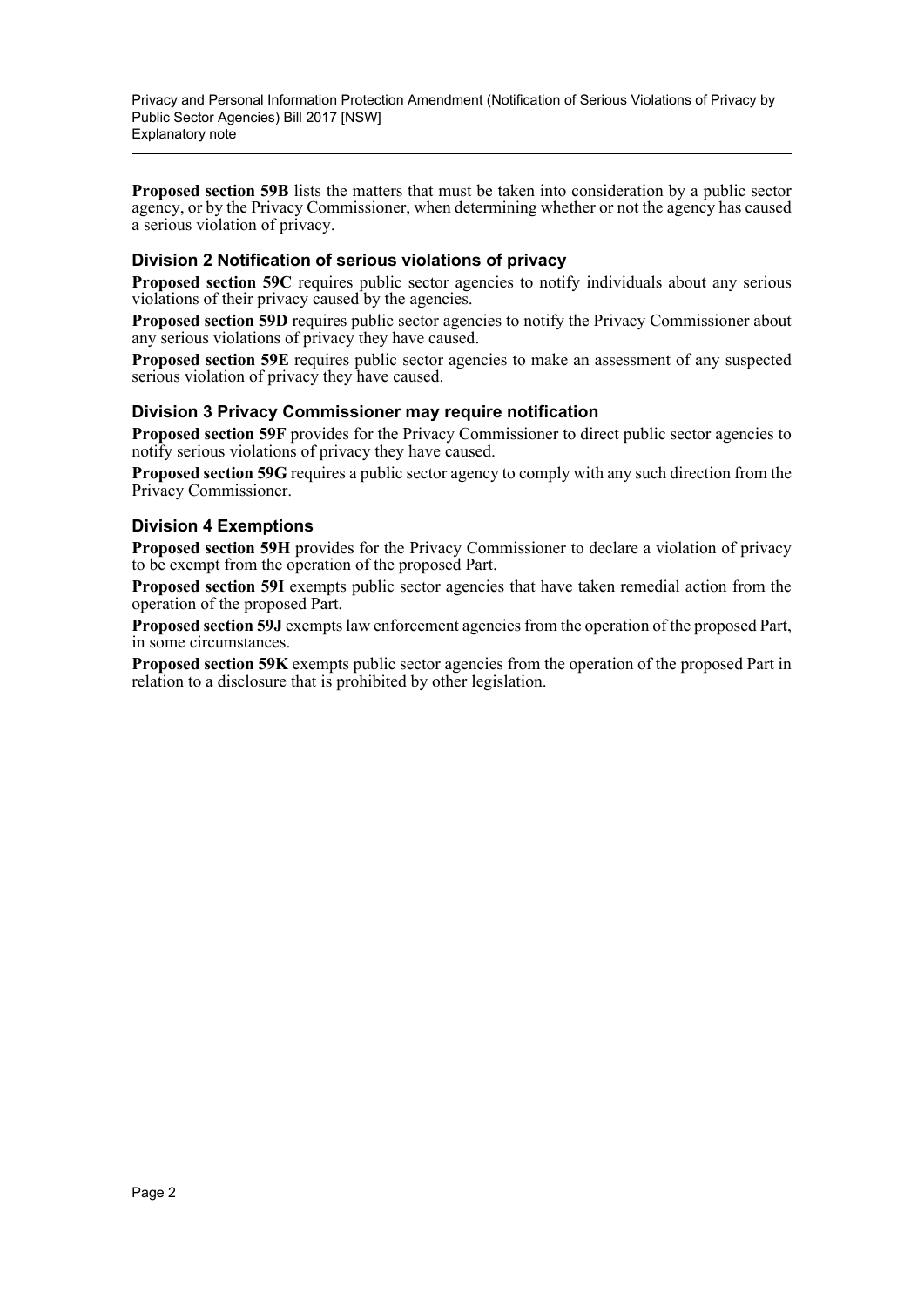Privacy and Personal Information Protection Amendment (Notification of Serious Violations of Privacy by Public Sector Agencies) Bill 2017 [NSW] Explanatory note

**Proposed section 59B** lists the matters that must be taken into consideration by a public sector agency, or by the Privacy Commissioner, when determining whether or not the agency has caused a serious violation of privacy.

### **Division 2 Notification of serious violations of privacy**

**Proposed section 59C** requires public sector agencies to notify individuals about any serious violations of their privacy caused by the agencies.

**Proposed section 59D** requires public sector agencies to notify the Privacy Commissioner about any serious violations of privacy they have caused.

**Proposed section 59E** requires public sector agencies to make an assessment of any suspected serious violation of privacy they have caused.

### **Division 3 Privacy Commissioner may require notification**

**Proposed section 59F** provides for the Privacy Commissioner to direct public sector agencies to notify serious violations of privacy they have caused.

**Proposed section 59G** requires a public sector agency to comply with any such direction from the Privacy Commissioner.

### **Division 4 Exemptions**

**Proposed section 59H** provides for the Privacy Commissioner to declare a violation of privacy to be exempt from the operation of the proposed Part.

**Proposed section 59I** exempts public sector agencies that have taken remedial action from the operation of the proposed Part.

**Proposed section 59J** exempts law enforcement agencies from the operation of the proposed Part, in some circumstances.

**Proposed section 59K** exempts public sector agencies from the operation of the proposed Part in relation to a disclosure that is prohibited by other legislation.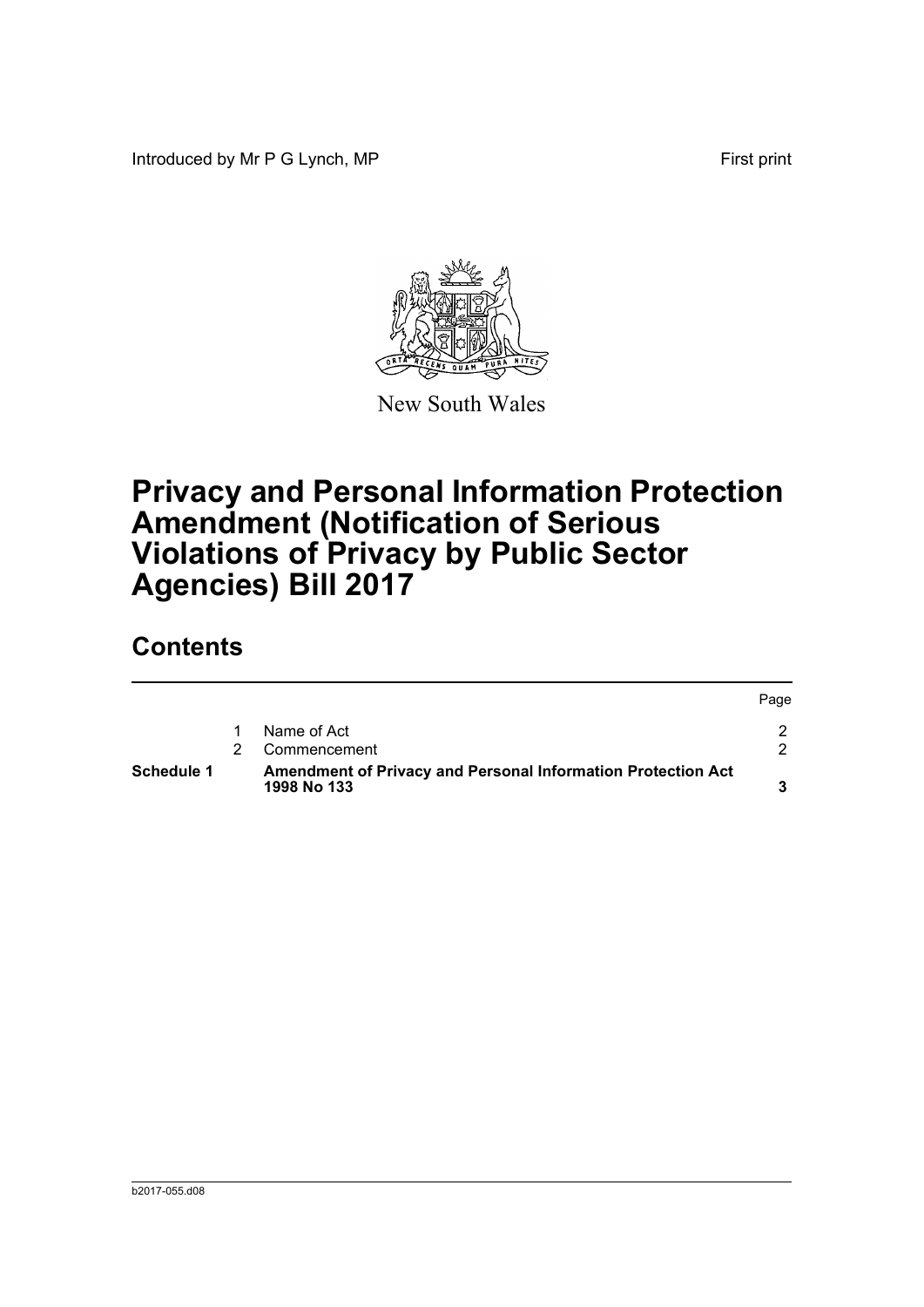Introduced by Mr P G Lynch, MP First print



New South Wales

# **Privacy and Personal Information Protection Amendment (Notification of Serious Violations of Privacy by Public Sector Agencies) Bill 2017**

# **Contents**

| <b>Schedule 1</b> | Amendment of Privacy and Personal Information Protection Act<br>1998 No 133 |      |
|-------------------|-----------------------------------------------------------------------------|------|
|                   | Commencement                                                                |      |
|                   | Name of Act                                                                 |      |
|                   |                                                                             | Page |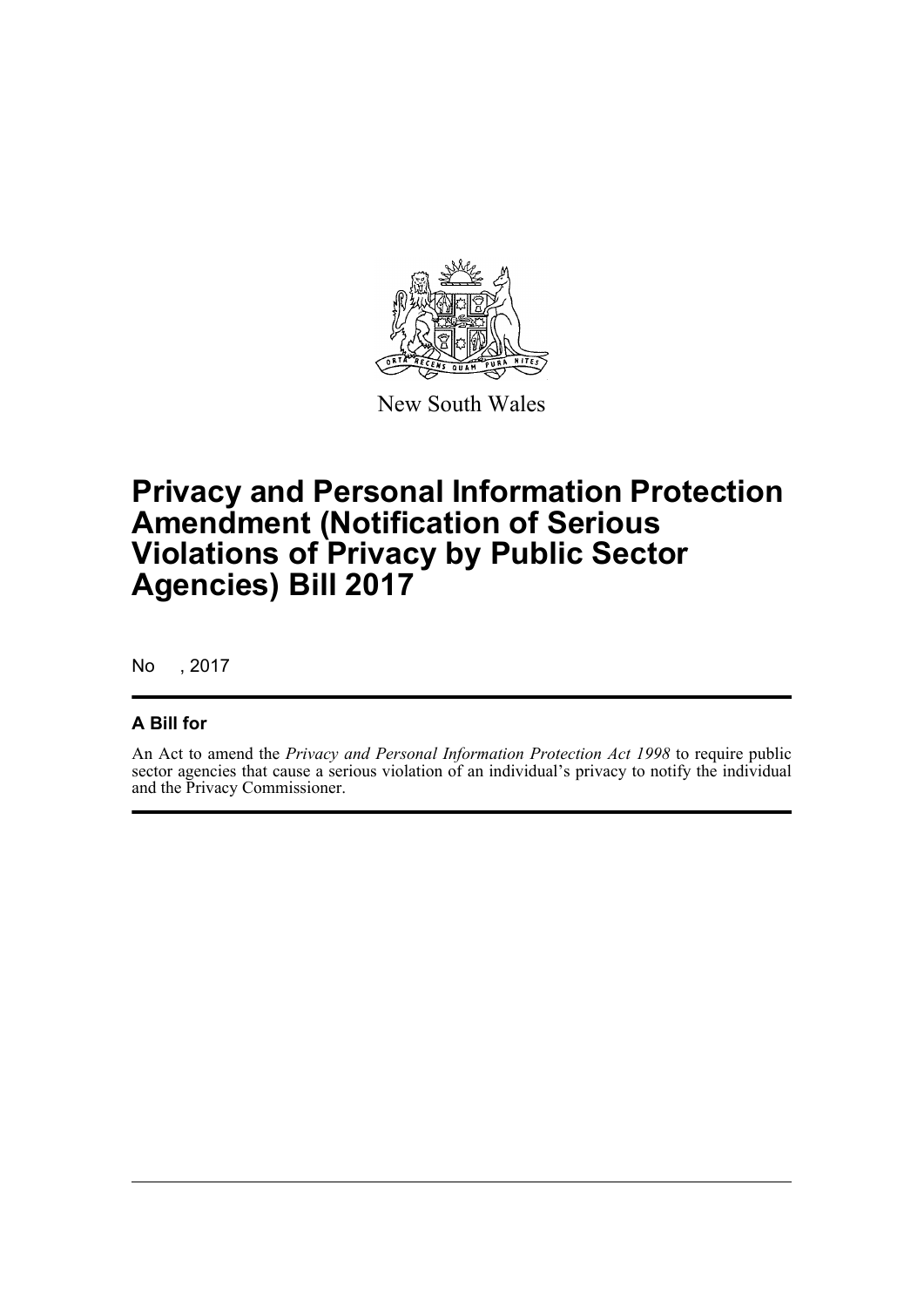

New South Wales

# **Privacy and Personal Information Protection Amendment (Notification of Serious Violations of Privacy by Public Sector Agencies) Bill 2017**

No , 2017

## **A Bill for**

An Act to amend the *Privacy and Personal Information Protection Act 1998* to require public sector agencies that cause a serious violation of an individual's privacy to notify the individual and the Privacy Commissioner.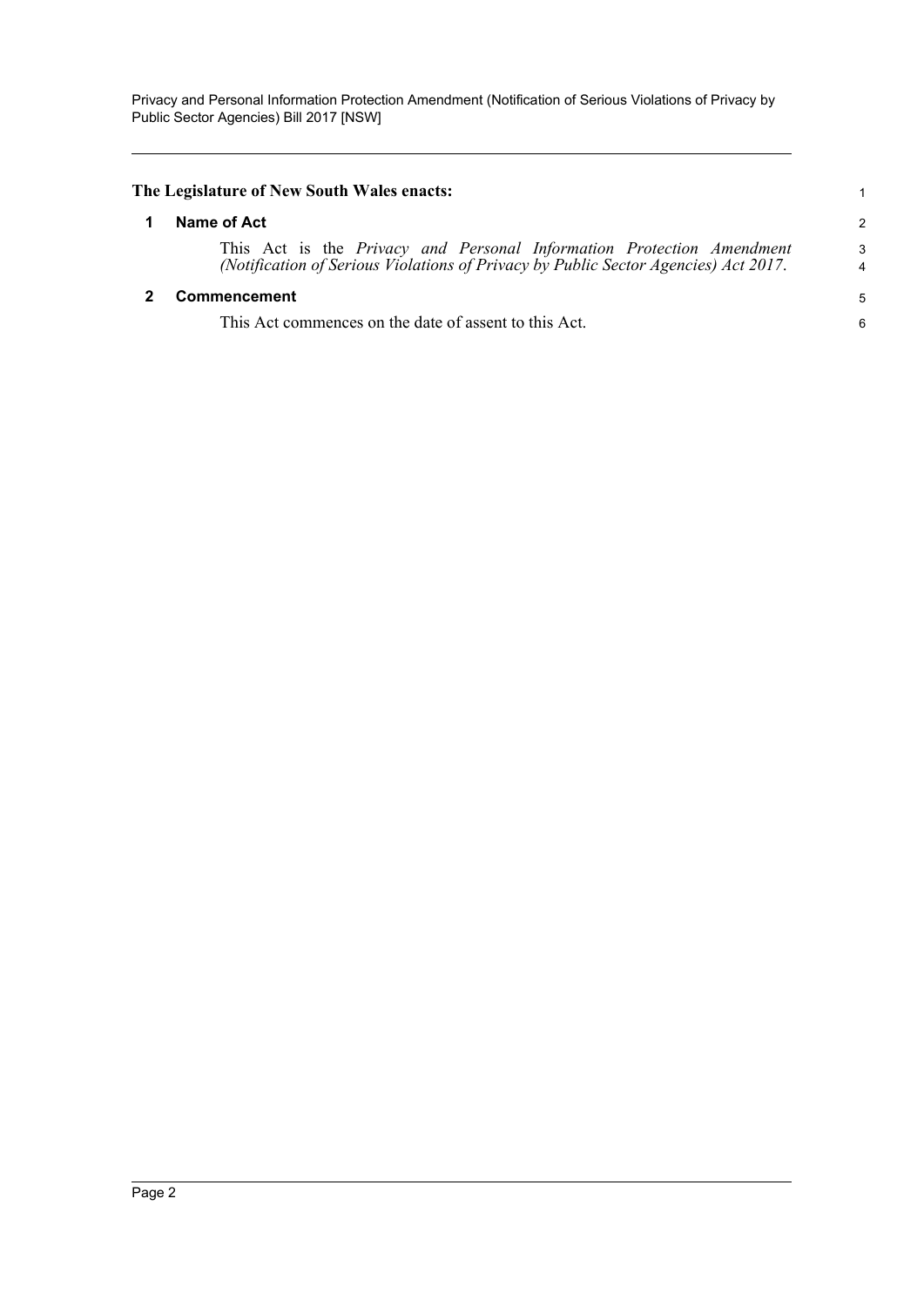Privacy and Personal Information Protection Amendment (Notification of Serious Violations of Privacy by Public Sector Agencies) Bill 2017 [NSW]

<span id="page-4-1"></span><span id="page-4-0"></span>

| The Legislature of New South Wales enacts: |                                                                                                                                                              |                    |  |  |
|--------------------------------------------|--------------------------------------------------------------------------------------------------------------------------------------------------------------|--------------------|--|--|
|                                            | Name of Act                                                                                                                                                  |                    |  |  |
|                                            | This Act is the Privacy and Personal Information Protection Amendment<br>(Notification of Serious Violations of Privacy by Public Sector Agencies) Act 2017. | $\mathcal{A}$<br>4 |  |  |
|                                            | <b>Commencement</b>                                                                                                                                          | 5                  |  |  |
|                                            | This Act commences on the date of assent to this Act.                                                                                                        | 6                  |  |  |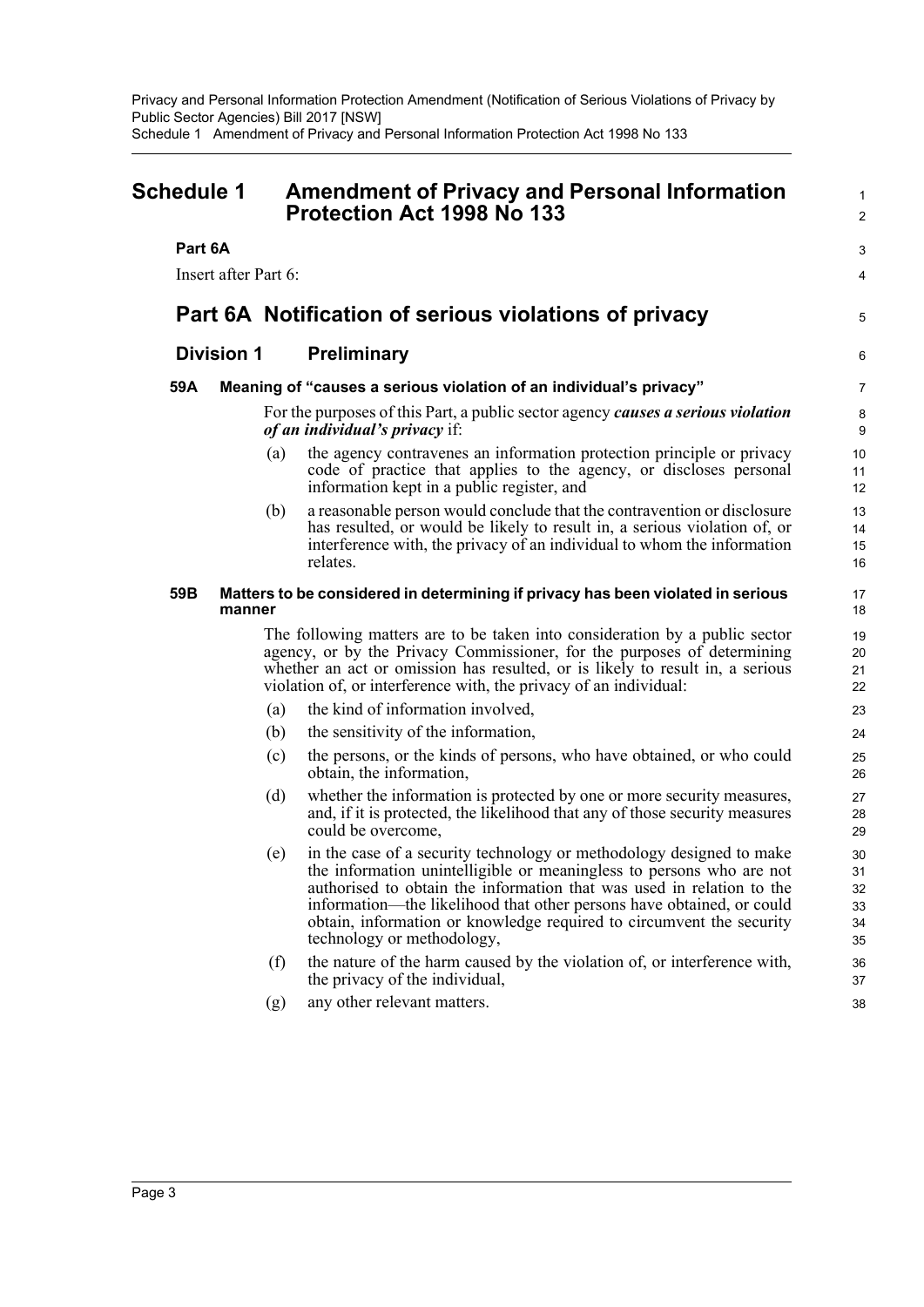<span id="page-5-0"></span>

| <b>Schedule 1</b> |                      | <b>Amendment of Privacy and Personal Information</b><br><b>Protection Act 1998 No 133</b> |                                                                                                                                                                                                                                                                                                                                                                                                      | $\mathbf{1}$<br>2                |
|-------------------|----------------------|-------------------------------------------------------------------------------------------|------------------------------------------------------------------------------------------------------------------------------------------------------------------------------------------------------------------------------------------------------------------------------------------------------------------------------------------------------------------------------------------------------|----------------------------------|
| Part 6A           |                      |                                                                                           |                                                                                                                                                                                                                                                                                                                                                                                                      | 3<br>4                           |
|                   | Insert after Part 6: |                                                                                           |                                                                                                                                                                                                                                                                                                                                                                                                      |                                  |
|                   |                      |                                                                                           | Part 6A Notification of serious violations of privacy                                                                                                                                                                                                                                                                                                                                                | 5                                |
|                   | <b>Division 1</b>    |                                                                                           | <b>Preliminary</b>                                                                                                                                                                                                                                                                                                                                                                                   | 6                                |
| 59A               |                      |                                                                                           | Meaning of "causes a serious violation of an individual's privacy"                                                                                                                                                                                                                                                                                                                                   | 7                                |
|                   |                      |                                                                                           | For the purposes of this Part, a public sector agency causes a serious violation<br><i>of an individual's privacy if:</i>                                                                                                                                                                                                                                                                            | 8<br>9                           |
|                   |                      | (a)                                                                                       | the agency contravenes an information protection principle or privacy<br>code of practice that applies to the agency, or discloses personal<br>information kept in a public register, and                                                                                                                                                                                                            | 10<br>11<br>12                   |
|                   |                      | (b)                                                                                       | a reasonable person would conclude that the contravention or disclosure<br>has resulted, or would be likely to result in, a serious violation of, or<br>interference with, the privacy of an individual to whom the information<br>relates.                                                                                                                                                          | 13<br>14<br>15<br>16             |
| 59B               | manner               |                                                                                           | Matters to be considered in determining if privacy has been violated in serious                                                                                                                                                                                                                                                                                                                      | 17<br>18                         |
|                   |                      |                                                                                           | The following matters are to be taken into consideration by a public sector<br>agency, or by the Privacy Commissioner, for the purposes of determining<br>whether an act or omission has resulted, or is likely to result in, a serious<br>violation of, or interference with, the privacy of an individual:                                                                                         | 19<br>20<br>21<br>22             |
|                   |                      | (a)                                                                                       | the kind of information involved,                                                                                                                                                                                                                                                                                                                                                                    | 23                               |
|                   |                      | (b)                                                                                       | the sensitivity of the information,                                                                                                                                                                                                                                                                                                                                                                  | 24                               |
|                   |                      | (c)                                                                                       | the persons, or the kinds of persons, who have obtained, or who could<br>obtain, the information,                                                                                                                                                                                                                                                                                                    | 25<br>26                         |
|                   |                      | (d)                                                                                       | whether the information is protected by one or more security measures,<br>and, if it is protected, the likelihood that any of those security measures<br>could be overcome,                                                                                                                                                                                                                          | 27<br>28<br>29                   |
|                   |                      | (e)                                                                                       | in the case of a security technology or methodology designed to make<br>the information unintelligible or meaningless to persons who are not<br>authorised to obtain the information that was used in relation to the<br>information—the likelihood that other persons have obtained, or could<br>obtain, information or knowledge required to circumvent the security<br>technology or methodology, | 30<br>31<br>32<br>33<br>34<br>35 |
|                   |                      | (f)                                                                                       | the nature of the harm caused by the violation of, or interference with,<br>the privacy of the individual,                                                                                                                                                                                                                                                                                           | 36<br>37                         |
|                   |                      | (g)                                                                                       | any other relevant matters.                                                                                                                                                                                                                                                                                                                                                                          | 38                               |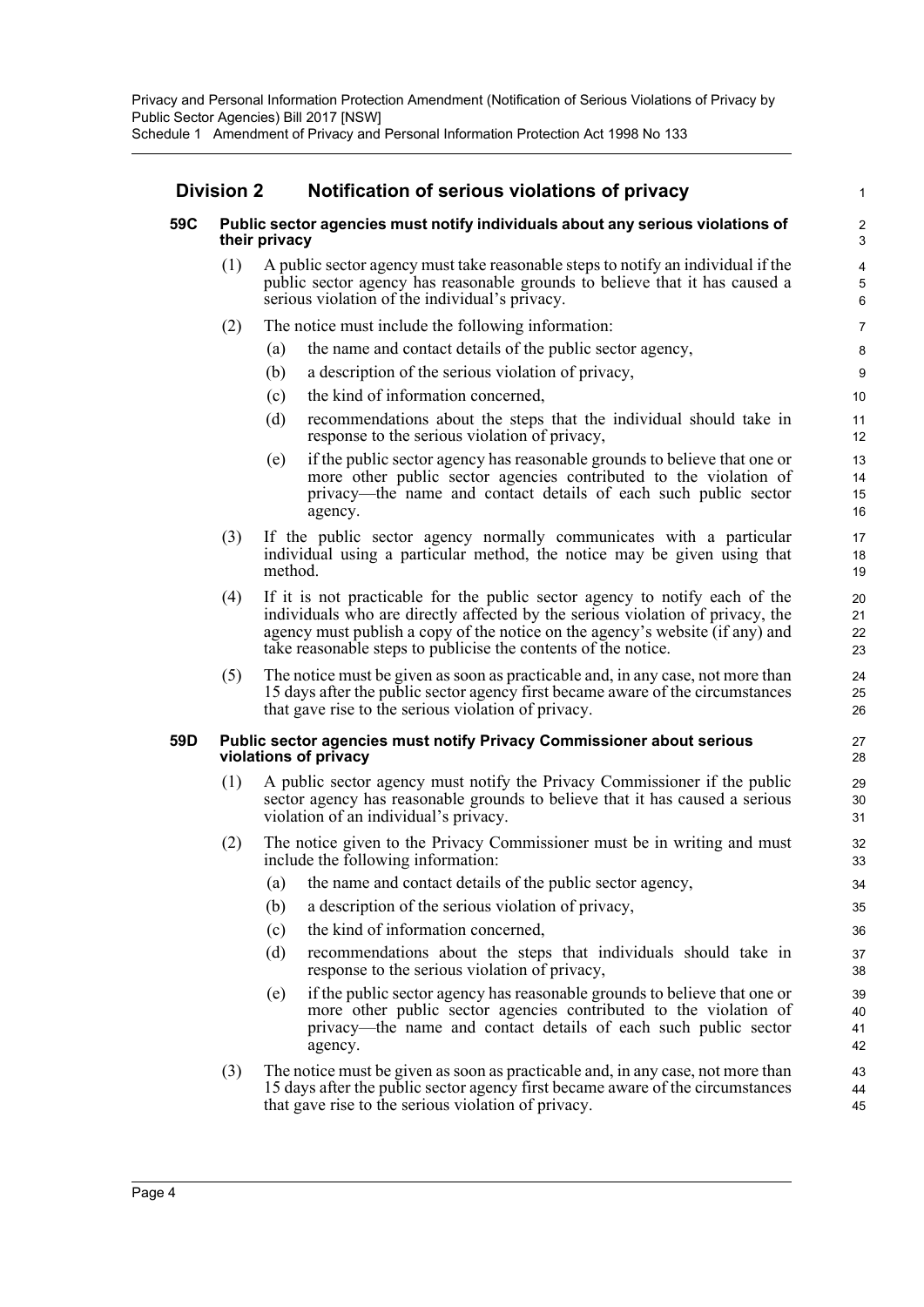## **Division 2 Notification of serious violations of privacy**

### **59C Public sector agencies must notify individuals about any serious violations of their privacy**

(1) A public sector agency must take reasonable steps to notify an individual if the public sector agency has reasonable grounds to believe that it has caused a serious violation of the individual's privacy.

- (2) The notice must include the following information:
	- (a) the name and contact details of the public sector agency,
	- (b) a description of the serious violation of privacy,
	- (c) the kind of information concerned,
	- (d) recommendations about the steps that the individual should take in response to the serious violation of privacy,
	- (e) if the public sector agency has reasonable grounds to believe that one or more other public sector agencies contributed to the violation of privacy—the name and contact details of each such public sector agency.
- (3) If the public sector agency normally communicates with a particular individual using a particular method, the notice may be given using that method.
- (4) If it is not practicable for the public sector agency to notify each of the individuals who are directly affected by the serious violation of privacy, the agency must publish a copy of the notice on the agency's website (if any) and take reasonable steps to publicise the contents of the notice.
- (5) The notice must be given as soon as practicable and, in any case, not more than 15 days after the public sector agency first became aware of the circumstances that gave rise to the serious violation of privacy.

#### **59D Public sector agencies must notify Privacy Commissioner about serious violations of privacy**

- (1) A public sector agency must notify the Privacy Commissioner if the public sector agency has reasonable grounds to believe that it has caused a serious violation of an individual's privacy.
- (2) The notice given to the Privacy Commissioner must be in writing and must include the following information:
	- (a) the name and contact details of the public sector agency,
	- (b) a description of the serious violation of privacy,
	- (c) the kind of information concerned,
	- (d) recommendations about the steps that individuals should take in response to the serious violation of privacy,
	- (e) if the public sector agency has reasonable grounds to believe that one or more other public sector agencies contributed to the violation of privacy—the name and contact details of each such public sector agency.
- (3) The notice must be given as soon as practicable and, in any case, not more than 15 days after the public sector agency first became aware of the circumstances that gave rise to the serious violation of privacy.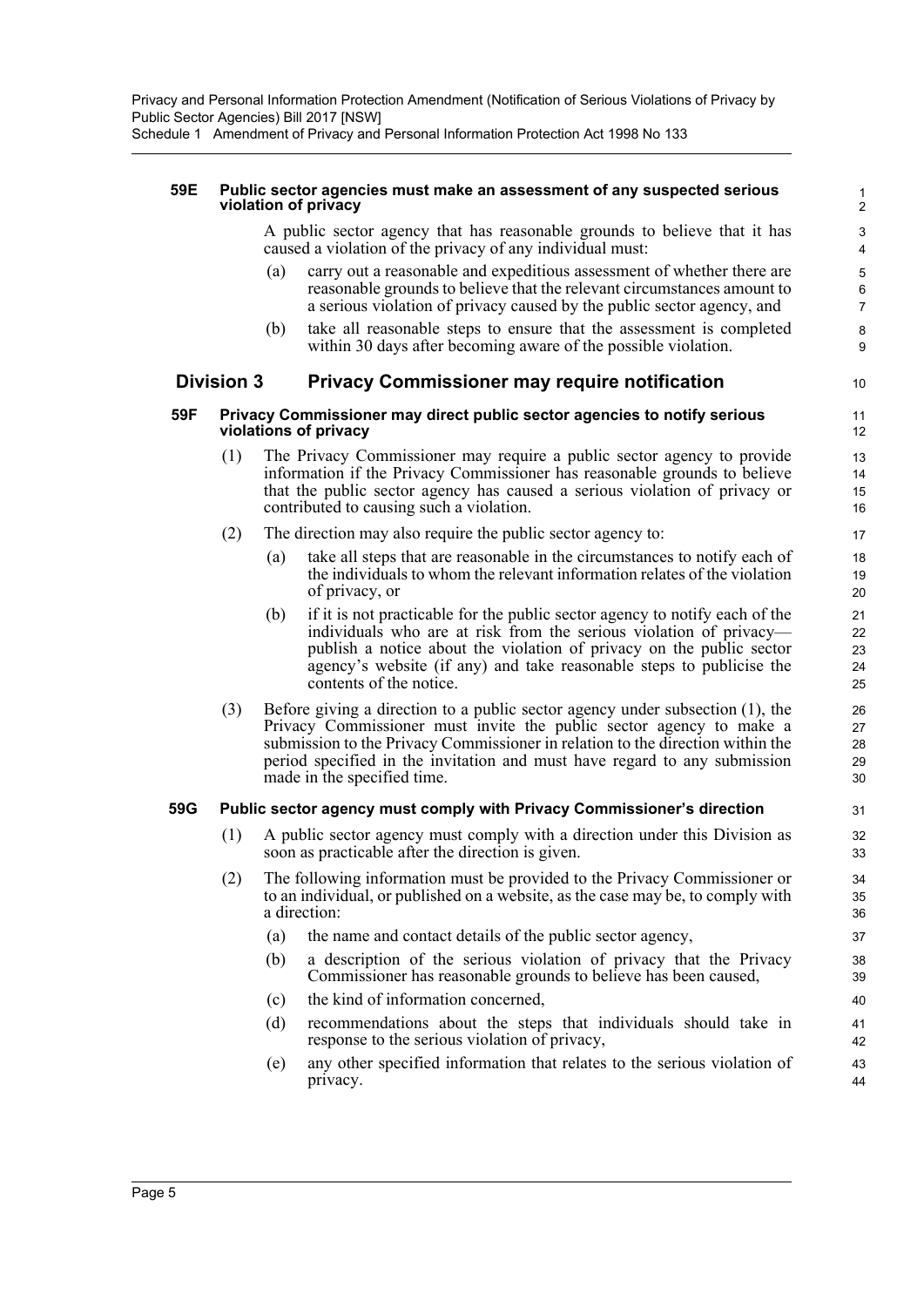Schedule 1 Amendment of Privacy and Personal Information Protection Act 1998 No 133

#### **59E Public sector agencies must make an assessment of any suspected serious violation of privacy**

A public sector agency that has reasonable grounds to believe that it has caused a violation of the privacy of any individual must:

- (a) carry out a reasonable and expeditious assessment of whether there are reasonable grounds to believe that the relevant circumstances amount to a serious violation of privacy caused by the public sector agency, and
- (b) take all reasonable steps to ensure that the assessment is completed within 30 days after becoming aware of the possible violation.

### **Division 3 Privacy Commissioner may require notification**

#### **59F Privacy Commissioner may direct public sector agencies to notify serious violations of privacy**

- (1) The Privacy Commissioner may require a public sector agency to provide information if the Privacy Commissioner has reasonable grounds to believe that the public sector agency has caused a serious violation of privacy or contributed to causing such a violation.
- (2) The direction may also require the public sector agency to:
	- (a) take all steps that are reasonable in the circumstances to notify each of the individuals to whom the relevant information relates of the violation of privacy, or
	- (b) if it is not practicable for the public sector agency to notify each of the individuals who are at risk from the serious violation of privacy publish a notice about the violation of privacy on the public sector agency's website (if any) and take reasonable steps to publicise the contents of the notice.
- (3) Before giving a direction to a public sector agency under subsection (1), the Privacy Commissioner must invite the public sector agency to make a submission to the Privacy Commissioner in relation to the direction within the period specified in the invitation and must have regard to any submission made in the specified time.

#### **59G Public sector agency must comply with Privacy Commissioner's direction**

- (1) A public sector agency must comply with a direction under this Division as soon as practicable after the direction is given.
- (2) The following information must be provided to the Privacy Commissioner or to an individual, or published on a website, as the case may be, to comply with a direction:
	- (a) the name and contact details of the public sector agency,
	- (b) a description of the serious violation of privacy that the Privacy Commissioner has reasonable grounds to believe has been caused,
	- (c) the kind of information concerned,
	- (d) recommendations about the steps that individuals should take in response to the serious violation of privacy,
	- (e) any other specified information that relates to the serious violation of privacy.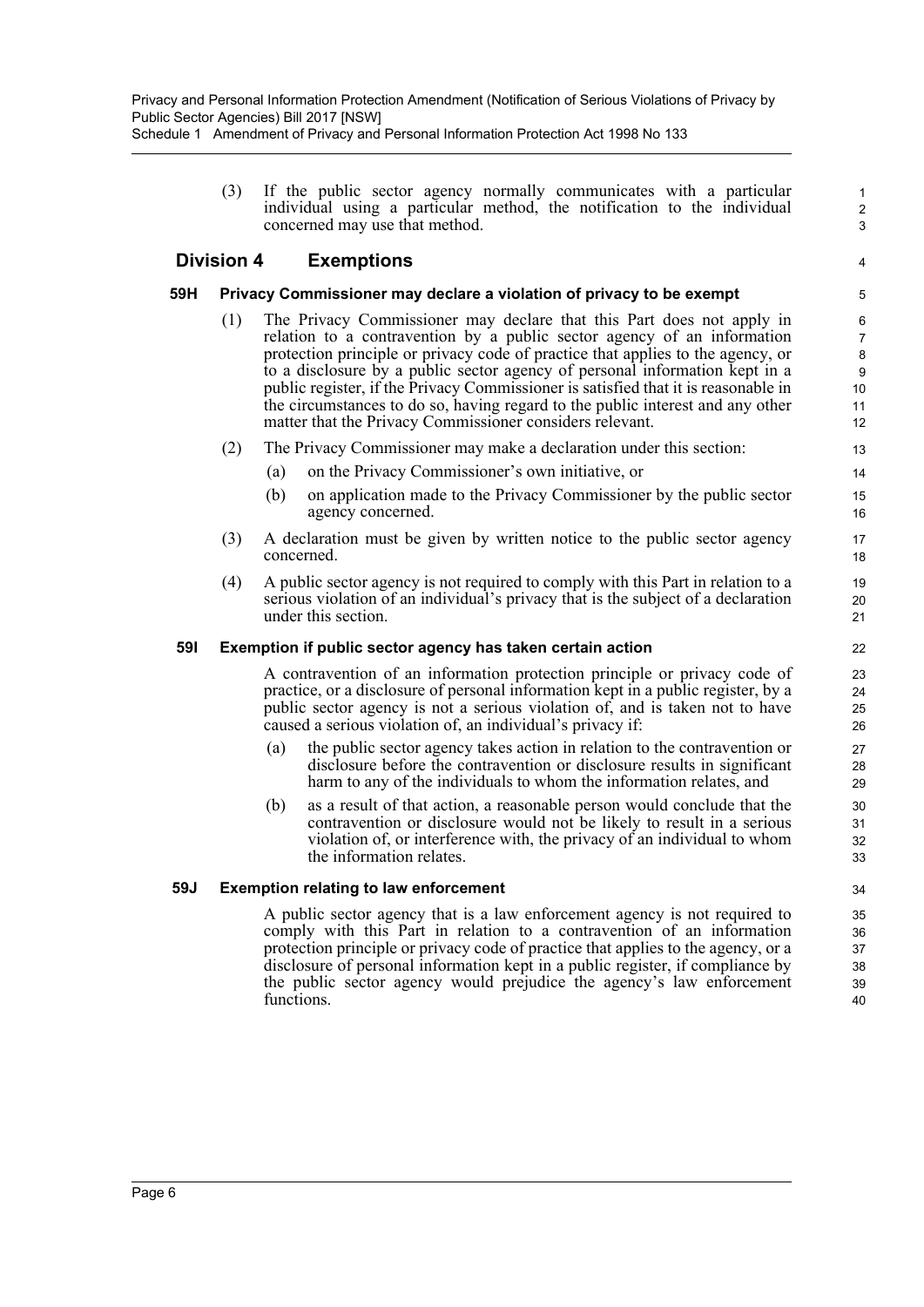(3) If the public sector agency normally communicates with a particular individual using a particular method, the notification to the individual concerned may use that method.

1 2 3

4

## **Division 4 Exemptions**

### **59H Privacy Commissioner may declare a violation of privacy to be exempt**

- (1) The Privacy Commissioner may declare that this Part does not apply in relation to a contravention by a public sector agency of an information protection principle or privacy code of practice that applies to the agency, or to a disclosure by a public sector agency of personal information kept in a public register, if the Privacy Commissioner is satisfied that it is reasonable in the circumstances to do so, having regard to the public interest and any other matter that the Privacy Commissioner considers relevant.
- (2) The Privacy Commissioner may make a declaration under this section:
	- (a) on the Privacy Commissioner's own initiative, or
	- (b) on application made to the Privacy Commissioner by the public sector agency concerned.
- (3) A declaration must be given by written notice to the public sector agency concerned.
- (4) A public sector agency is not required to comply with this Part in relation to a serious violation of an individual's privacy that is the subject of a declaration under this section.

### **59I Exemption if public sector agency has taken certain action**

A contravention of an information protection principle or privacy code of practice, or a disclosure of personal information kept in a public register, by a public sector agency is not a serious violation of, and is taken not to have caused a serious violation of, an individual's privacy if:

- (a) the public sector agency takes action in relation to the contravention or disclosure before the contravention or disclosure results in significant harm to any of the individuals to whom the information relates, and
- (b) as a result of that action, a reasonable person would conclude that the contravention or disclosure would not be likely to result in a serious violation of, or interference with, the privacy of an individual to whom the information relates.

#### **59J Exemption relating to law enforcement**

A public sector agency that is a law enforcement agency is not required to comply with this Part in relation to a contravention of an information protection principle or privacy code of practice that applies to the agency, or a disclosure of personal information kept in a public register, if compliance by the public sector agency would prejudice the agency's law enforcement functions.